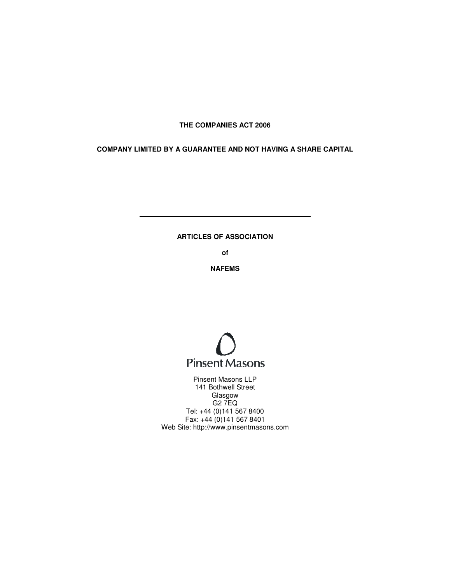## **THE COMPANIES ACT 2006**

**COMPANY LIMITED BY A GUARANTEE AND NOT HAVING A SHARE CAPITAL Y GUARANTEE AND A OF ASSOCIATION** 

# **ARTICLES OF**

**of** 

**NAFEMS** 



Web Site: http://www.pinsentmasons.com Pinsent Masons LLP 141 Bothwell Street Glasgow G2 7EQ Tel: +44 (0)141 567 8400 Fax:  $+44(0)1415678401$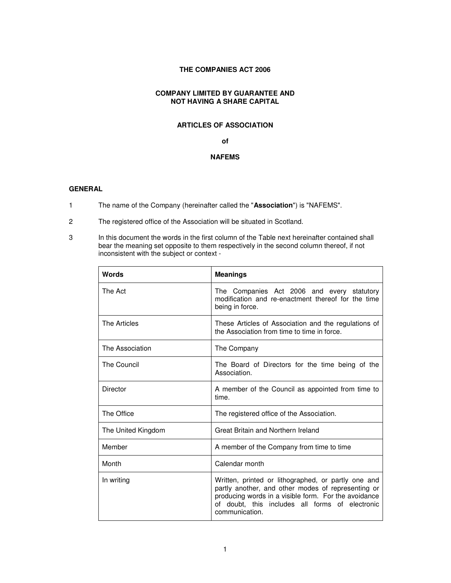# **THE COMPANIES ACT 2006**

### **COMPANY LIMITED BY GUARANTEE AND NOT HAVING A SHARE CAPITAL**

### **ARTICLES OF ASSOCIATION**

#### **of**

# **NAFEMS**

#### **GENERAL**

- 1 The name of the Company (hereinafter called the "**Association**") is "NAFEMS".
- 2 The registered office of the Association will be situated in Scotland.
- 3 In this document the words in the first column of the Table next hereinafter contained shall bear the meaning set opposite to them respectively in the second column thereof, if not inconsistent with the subject or context -

| Words              | <b>Meanings</b>                                                                                                                                                                                                                        |
|--------------------|----------------------------------------------------------------------------------------------------------------------------------------------------------------------------------------------------------------------------------------|
| The Act            | The Companies Act 2006 and every statutory<br>modification and re-enactment thereof for the time<br>being in force.                                                                                                                    |
| The Articles       | These Articles of Association and the regulations of<br>the Association from time to time in force.                                                                                                                                    |
| The Association    | The Company                                                                                                                                                                                                                            |
| The Council        | The Board of Directors for the time being of the<br>Association.                                                                                                                                                                       |
| Director           | A member of the Council as appointed from time to<br>time.                                                                                                                                                                             |
| The Office         | The registered office of the Association.                                                                                                                                                                                              |
| The United Kingdom | Great Britain and Northern Ireland                                                                                                                                                                                                     |
| Member             | A member of the Company from time to time                                                                                                                                                                                              |
| Month              | Calendar month                                                                                                                                                                                                                         |
| In writing         | Written, printed or lithographed, or partly one and<br>partly another, and other modes of representing or<br>producing words in a visible form. For the avoidance<br>of doubt, this includes all forms of electronic<br>communication. |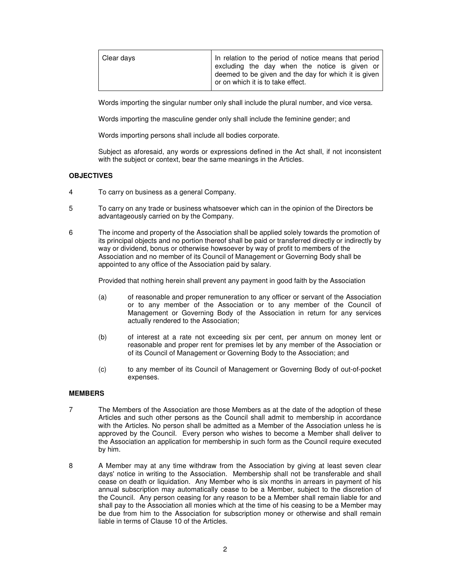| Clear days | In relation to the period of notice means that period<br>excluding the day when the notice is given or<br>deemed to be given and the day for which it is given<br>or on which it is to take effect. |
|------------|-----------------------------------------------------------------------------------------------------------------------------------------------------------------------------------------------------|
|            |                                                                                                                                                                                                     |

Words importing the singular number only shall include the plural number, and vice versa.

Words importing the masculine gender only shall include the feminine gender; and

Words importing persons shall include all bodies corporate.

Subject as aforesaid, any words or expressions defined in the Act shall, if not inconsistent with the subject or context, bear the same meanings in the Articles.

#### **OBJECTIVES**

- 4 To carry on business as a general Company.
- 5 To carry on any trade or business whatsoever which can in the opinion of the Directors be advantageously carried on by the Company.
- 6 The income and property of the Association shall be applied solely towards the promotion of its principal objects and no portion thereof shall be paid or transferred directly or indirectly by way or dividend, bonus or otherwise howsoever by way of profit to members of the Association and no member of its Council of Management or Governing Body shall be appointed to any office of the Association paid by salary.

Provided that nothing herein shall prevent any payment in good faith by the Association

- (a) of reasonable and proper remuneration to any officer or servant of the Association or to any member of the Association or to any member of the Council of Management or Governing Body of the Association in return for any services actually rendered to the Association;
- (b) of interest at a rate not exceeding six per cent, per annum on money lent or reasonable and proper rent for premises let by any member of the Association or of its Council of Management or Governing Body to the Association; and
- (c) to any member of its Council of Management or Governing Body of out-of-pocket expenses.

#### **MEMBERS**

- 7 The Members of the Association are those Members as at the date of the adoption of these Articles and such other persons as the Council shall admit to membership in accordance with the Articles. No person shall be admitted as a Member of the Association unless he is approved by the Council. Every person who wishes to become a Member shall deliver to the Association an application for membership in such form as the Council require executed by him.
- 8 A Member may at any time withdraw from the Association by giving at least seven clear days' notice in writing to the Association. Membership shall not be transferable and shall cease on death or liquidation. Any Member who is six months in arrears in payment of his annual subscription may automatically cease to be a Member, subject to the discretion of the Council. Any person ceasing for any reason to be a Member shall remain liable for and shall pay to the Association all monies which at the time of his ceasing to be a Member may be due from him to the Association for subscription money or otherwise and shall remain liable in terms of Clause 10 of the Articles.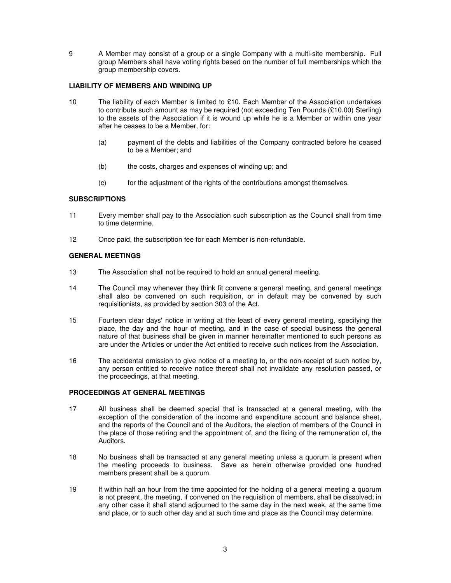9 A Member may consist of a group or a single Company with a multi-site membership. Full group Members shall have voting rights based on the number of full memberships which the group membership covers.

## **LIABILITY OF MEMBERS AND WINDING UP**

- 10 The liability of each Member is limited to £10. Each Member of the Association undertakes to contribute such amount as may be required (not exceeding Ten Pounds (£10.00) Sterling) to the assets of the Association if it is wound up while he is a Member or within one year after he ceases to be a Member, for:
	- (a) payment of the debts and liabilities of the Company contracted before he ceased to be a Member; and
	- (b) the costs, charges and expenses of winding up; and
	- (c) for the adjustment of the rights of the contributions amongst themselves.

### **SUBSCRIPTIONS**

- 11 Every member shall pay to the Association such subscription as the Council shall from time to time determine.
- 12 Once paid, the subscription fee for each Member is non-refundable.

# **GENERAL MEETINGS**

- 13 The Association shall not be required to hold an annual general meeting.
- 14 The Council may whenever they think fit convene a general meeting, and general meetings shall also be convened on such requisition, or in default may be convened by such requisitionists, as provided by section 303 of the Act.
- 15 Fourteen clear days' notice in writing at the least of every general meeting, specifying the place, the day and the hour of meeting, and in the case of special business the general nature of that business shall be given in manner hereinafter mentioned to such persons as are under the Articles or under the Act entitled to receive such notices from the Association.
- 16 The accidental omission to give notice of a meeting to, or the non-receipt of such notice by, any person entitled to receive notice thereof shall not invalidate any resolution passed, or the proceedings, at that meeting.

#### **PROCEEDINGS AT GENERAL MEETINGS**

- 17 All business shall be deemed special that is transacted at a general meeting, with the exception of the consideration of the income and expenditure account and balance sheet, and the reports of the Council and of the Auditors, the election of members of the Council in the place of those retiring and the appointment of, and the fixing of the remuneration of, the Auditors.
- 18 No business shall be transacted at any general meeting unless a quorum is present when the meeting proceeds to business. Save as herein otherwise provided one hundred members present shall be a quorum.
- 19 If within half an hour from the time appointed for the holding of a general meeting a quorum is not present, the meeting, if convened on the requisition of members, shall be dissolved; in any other case it shall stand adjourned to the same day in the next week, at the same time and place, or to such other day and at such time and place as the Council may determine.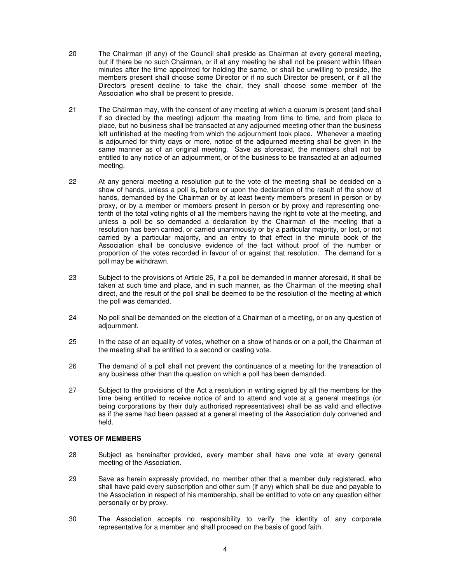- 20 The Chairman (if any) of the Council shall preside as Chairman at every general meeting, but if there be no such Chairman, or if at any meeting he shall not be present within fifteen minutes after the time appointed for holding the same, or shall be unwilling to preside, the members present shall choose some Director or if no such Director be present, or if all the Directors present decline to take the chair, they shall choose some member of the Association who shall be present to preside.
- 21 The Chairman may, with the consent of any meeting at which a quorum is present (and shall if so directed by the meeting) adjourn the meeting from time to time, and from place to place, but no business shall be transacted at any adjourned meeting other than the business left unfinished at the meeting from which the adjournment took place. Whenever a meeting is adjourned for thirty days or more, notice of the adjourned meeting shall be given in the same manner as of an original meeting. Save as aforesaid, the members shall not be entitled to any notice of an adjournment, or of the business to be transacted at an adjourned meeting.
- 22 At any general meeting a resolution put to the vote of the meeting shall be decided on a show of hands, unless a poll is, before or upon the declaration of the result of the show of hands, demanded by the Chairman or by at least twenty members present in person or by proxy, or by a member or members present in person or by proxy and representing onetenth of the total voting rights of all the members having the right to vote at the meeting, and unless a poll be so demanded a declaration by the Chairman of the meeting that a resolution has been carried, or carried unanimously or by a particular majority, or lost, or not carried by a particular majority, and an entry to that effect in the minute book of the Association shall be conclusive evidence of the fact without proof of the number or proportion of the votes recorded in favour of or against that resolution. The demand for a poll may be withdrawn.
- 23 Subject to the provisions of Article 26, if a poll be demanded in manner aforesaid, it shall be taken at such time and place, and in such manner, as the Chairman of the meeting shall direct, and the result of the poll shall be deemed to be the resolution of the meeting at which the poll was demanded.
- 24 No poll shall be demanded on the election of a Chairman of a meeting, or on any question of adjournment.
- 25 In the case of an equality of votes, whether on a show of hands or on a poll, the Chairman of the meeting shall be entitled to a second or casting vote.
- 26 The demand of a poll shall not prevent the continuance of a meeting for the transaction of any business other than the question on which a poll has been demanded.
- 27 Subject to the provisions of the Act a resolution in writing signed by all the members for the time being entitled to receive notice of and to attend and vote at a general meetings (or being corporations by their duly authorised representatives) shall be as valid and effective as if the same had been passed at a general meeting of the Association duly convened and held.

## **VOTES OF MEMBERS**

- 28 Subject as hereinafter provided, every member shall have one vote at every general meeting of the Association.
- 29 Save as herein expressly provided, no member other that a member duly registered, who shall have paid every subscription and other sum (if any) which shall be due and payable to the Association in respect of his membership, shall be entitled to vote on any question either personally or by proxy.
- 30 The Association accepts no responsibility to verify the identity of any corporate representative for a member and shall proceed on the basis of good faith.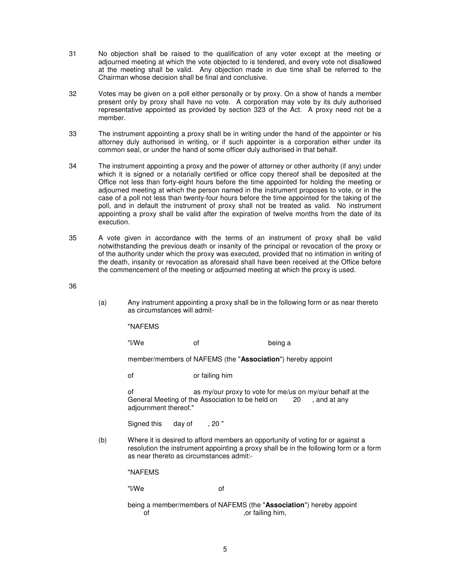- 31 No objection shall be raised to the qualification of any voter except at the meeting or adjourned meeting at which the vote objected to is tendered, and every vote not disallowed at the meeting shall be valid. Any objection made in due time shall be referred to the Chairman whose decision shall be final and conclusive.
- 32 Votes may be given on a poll either personally or by proxy. On a show of hands a member present only by proxy shall have no vote. A corporation may vote by its duly authorised representative appointed as provided by section 323 of the Act. A proxy need not be a member.
- 33 The instrument appointing a proxy shall be in writing under the hand of the appointer or his attorney duly authorised in writing, or if such appointer is a corporation either under its common seal, or under the hand of some officer duly authorised in that behalf.
- 34 The instrument appointing a proxy and the power of attorney or other authority (if any) under which it is signed or a notarially certified or office copy thereof shall be deposited at the Office not less than forty-eight hours before the time appointed for holding the meeting or adjourned meeting at which the person named in the instrument proposes to vote, or in the case of a poll not less than twenty-four hours before the time appointed for the taking of the poll, and in default the instrument of proxy shall not be treated as valid. No instrument appointing a proxy shall be valid after the expiration of twelve months from the date of its execution.
- 35 A vote given in accordance with the terms of an instrument of proxy shall be valid notwithstanding the previous death or insanity of the principal or revocation of the proxy or of the authority under which the proxy was executed, provided that no intimation in writing of the death, insanity or revocation as aforesaid shall have been received at the Office before the commencement of the meeting or adjourned meeting at which the proxy is used.
- 36
- (a) Any instrument appointing a proxy shall be in the following form or as near thereto as circumstances will admit-

"NAFEMS

"l/We of being a

member/members of NAFEMS (the "**Association**") hereby appoint

of or failing him

of as my/our proxy to vote for me/us on my/our behalf at the General Meeting of the Association to be held on 20, and at any adjournment thereof."

Signed this day of , 20"

(b) Where it is desired to afford members an opportunity of voting for or against a resolution the instrument appointing a proxy shall be in the following form or a form as near thereto as circumstances admit:-

"NAFEMS

"l/We of

being a member/members of NAFEMS (the "**Association**") hereby appoint of the contract of the contract of  $\sim$  . Or failing him,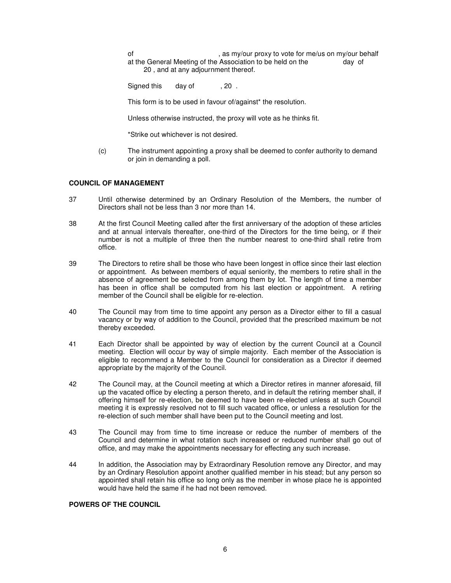of example of the state of the state of the state of the state of the state of the state of the state of the state of the state of the state of the state of the state of the state of the state of the state of the state of at the General Meeting of the Association to be held on the day of 20 , and at any adjournment thereof.

Signed this day of , 20.

This form is to be used in favour of/against\* the resolution.

Unless otherwise instructed, the proxy will vote as he thinks fit.

\*Strike out whichever is not desired.

(c) The instrument appointing a proxy shall be deemed to confer authority to demand or join in demanding a poll.

### **COUNCIL OF MANAGEMENT**

- 37 Until otherwise determined by an Ordinary Resolution of the Members, the number of Directors shall not be less than 3 nor more than 14.
- 38 At the first Council Meeting called after the first anniversary of the adoption of these articles and at annual intervals thereafter, one-third of the Directors for the time being, or if their number is not a multiple of three then the number nearest to one-third shall retire from office.
- 39 The Directors to retire shall be those who have been longest in office since their last election or appointment. As between members of equal seniority, the members to retire shall in the absence of agreement be selected from among them by lot. The length of time a member has been in office shall be computed from his last election or appointment. A retiring member of the Council shall be eligible for re-election.
- 40 The Council may from time to time appoint any person as a Director either to fill a casual vacancy or by way of addition to the Council, provided that the prescribed maximum be not thereby exceeded.
- 41 Each Director shall be appointed by way of election by the current Council at a Council meeting. Election will occur by way of simple majority. Each member of the Association is eligible to recommend a Member to the Council for consideration as a Director if deemed appropriate by the majority of the Council.
- 42 The Council may, at the Council meeting at which a Director retires in manner aforesaid, fill up the vacated office by electing a person thereto, and in default the retiring member shall, if offering himself for re-election, be deemed to have been re-elected unless at such Council meeting it is expressly resolved not to fill such vacated office, or unless a resolution for the re-election of such member shall have been put to the Council meeting and lost.
- 43 The Council may from time to time increase or reduce the number of members of the Council and determine in what rotation such increased or reduced number shall go out of office, and may make the appointments necessary for effecting any such increase.
- 44 In addition, the Association may by Extraordinary Resolution remove any Director, and may by an Ordinary Resolution appoint another qualified member in his stead; but any person so appointed shall retain his office so long only as the member in whose place he is appointed would have held the same if he had not been removed.

# **POWERS OF THE COUNCIL**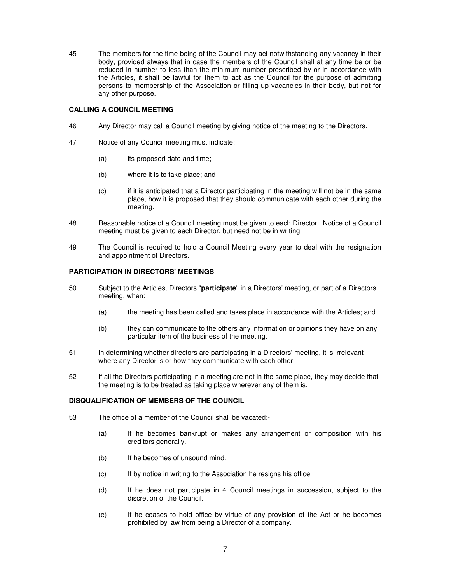45 The members for the time being of the Council may act notwithstanding any vacancy in their body, provided always that in case the members of the Council shall at any time be or be reduced in number to less than the minimum number prescribed by or in accordance with the Articles, it shall be lawful for them to act as the Council for the purpose of admitting persons to membership of the Association or filling up vacancies in their body, but not for any other purpose.

## **CALLING A COUNCIL MEETING**

- 46 Any Director may call a Council meeting by giving notice of the meeting to the Directors.
- 47 Notice of any Council meeting must indicate:
	- (a) its proposed date and time;
	- (b) where it is to take place; and
	- (c) if it is anticipated that a Director participating in the meeting will not be in the same place, how it is proposed that they should communicate with each other during the meeting.
- 48 Reasonable notice of a Council meeting must be given to each Director. Notice of a Council meeting must be given to each Director, but need not be in writing
- 49 The Council is required to hold a Council Meeting every year to deal with the resignation and appointment of Directors.

# **PARTICIPATION IN DIRECTORS' MEETINGS**

- 50 Subject to the Articles, Directors "**participate**" in a Directors' meeting, or part of a Directors meeting, when:
	- (a) the meeting has been called and takes place in accordance with the Articles; and
	- (b) they can communicate to the others any information or opinions they have on any particular item of the business of the meeting.
- 51 In determining whether directors are participating in a Directors' meeting, it is irrelevant where any Director is or how they communicate with each other.
- 52 If all the Directors participating in a meeting are not in the same place, they may decide that the meeting is to be treated as taking place wherever any of them is.

#### **DISQUALIFICATION OF MEMBERS OF THE COUNCIL**

- 53 The office of a member of the Council shall be vacated:-
	- (a) If he becomes bankrupt or makes any arrangement or composition with his creditors generally.
	- (b) If he becomes of unsound mind.
	- (c) If by notice in writing to the Association he resigns his office.
	- (d) If he does not participate in 4 Council meetings in succession, subject to the discretion of the Council.
	- (e) If he ceases to hold office by virtue of any provision of the Act or he becomes prohibited by law from being a Director of a company.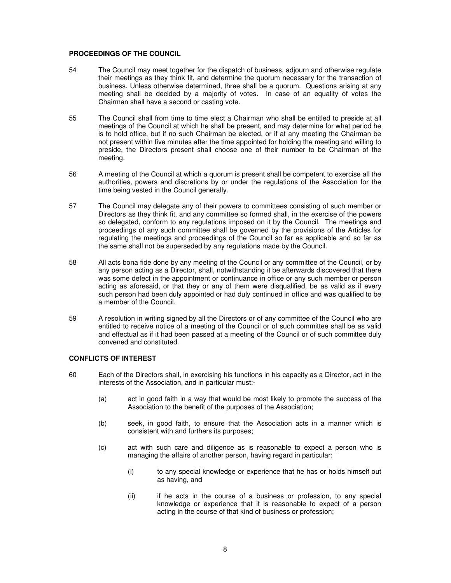#### **PROCEEDINGS OF THE COUNCIL**

- 54 The Council may meet together for the dispatch of business, adjourn and otherwise regulate their meetings as they think fit, and determine the quorum necessary for the transaction of business. Unless otherwise determined, three shall be a quorum. Questions arising at any meeting shall be decided by a majority of votes. In case of an equality of votes the Chairman shall have a second or casting vote.
- 55 The Council shall from time to time elect a Chairman who shall be entitled to preside at all meetings of the Council at which he shall be present, and may determine for what period he is to hold office, but if no such Chairman be elected, or if at any meeting the Chairman be not present within five minutes after the time appointed for holding the meeting and willing to preside, the Directors present shall choose one of their number to be Chairman of the meeting.
- 56 A meeting of the Council at which a quorum is present shall be competent to exercise all the authorities, powers and discretions by or under the regulations of the Association for the time being vested in the Council generally.
- 57 The Council may delegate any of their powers to committees consisting of such member or Directors as they think fit, and any committee so formed shall, in the exercise of the powers so delegated, conform to any regulations imposed on it by the Council. The meetings and proceedings of any such committee shall be governed by the provisions of the Articles for regulating the meetings and proceedings of the Council so far as applicable and so far as the same shall not be superseded by any regulations made by the Council.
- 58 All acts bona fide done by any meeting of the Council or any committee of the Council, or by any person acting as a Director, shall, notwithstanding it be afterwards discovered that there was some defect in the appointment or continuance in office or any such member or person acting as aforesaid, or that they or any of them were disqualified, be as valid as if every such person had been duly appointed or had duly continued in office and was qualified to be a member of the Council.
- 59 A resolution in writing signed by all the Directors or of any committee of the Council who are entitled to receive notice of a meeting of the Council or of such committee shall be as valid and effectual as if it had been passed at a meeting of the Council or of such committee duly convened and constituted.

# **CONFLICTS OF INTEREST**

- 60 Each of the Directors shall, in exercising his functions in his capacity as a Director, act in the interests of the Association, and in particular must:-
	- (a) act in good faith in a way that would be most likely to promote the success of the Association to the benefit of the purposes of the Association;
	- (b) seek, in good faith, to ensure that the Association acts in a manner which is consistent with and furthers its purposes;
	- (c) act with such care and diligence as is reasonable to expect a person who is managing the affairs of another person, having regard in particular:
		- (i) to any special knowledge or experience that he has or holds himself out as having, and
		- (ii) if he acts in the course of a business or profession, to any special knowledge or experience that it is reasonable to expect of a person acting in the course of that kind of business or profession;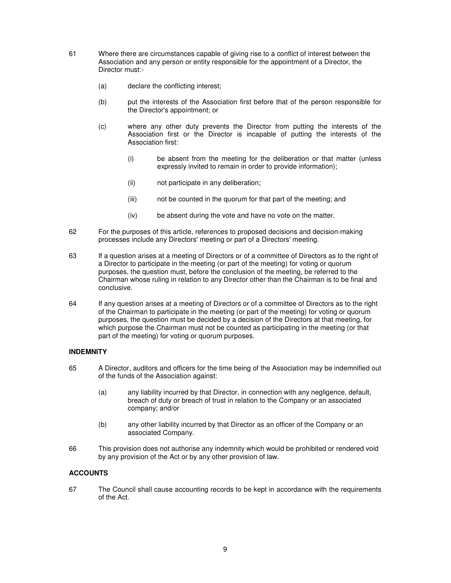- 61 Where there are circumstances capable of giving rise to a conflict of interest between the Association and any person or entity responsible for the appointment of a Director, the Director must:-
	- (a) declare the conflicting interest;
	- (b) put the interests of the Association first before that of the person responsible for the Director's appointment; or
	- (c) where any other duty prevents the Director from putting the interests of the Association first or the Director is incapable of putting the interests of the Association first:
		- (i) be absent from the meeting for the deliberation or that matter (unless expressly invited to remain in order to provide information);
		- (ii) not participate in any deliberation;
		- (iii) not be counted in the quorum for that part of the meeting; and
		- (iv) be absent during the vote and have no vote on the matter.
- 62 For the purposes of this article, references to proposed decisions and decision-making processes include any Directors' meeting or part of a Directors' meeting.
- 63 If a question arises at a meeting of Directors or of a committee of Directors as to the right of a Director to participate in the meeting (or part of the meeting) for voting or quorum purposes, the question must, before the conclusion of the meeting, be referred to the Chairman whose ruling in relation to any Director other than the Chairman is to be final and conclusive.
- 64 If any question arises at a meeting of Directors or of a committee of Directors as to the right of the Chairman to participate in the meeting (or part of the meeting) for voting or quorum purposes, the question must be decided by a decision of the Directors at that meeting, for which purpose the Chairman must not be counted as participating in the meeting (or that part of the meeting) for voting or quorum purposes.

# **INDEMNITY**

- 65 A Director, auditors and officers for the time being of the Association may be indemnified out of the funds of the Association against:
	- (a) any liability incurred by that Director, in connection with any negligence, default, breach of duty or breach of trust in relation to the Company or an associated company; and/or
	- (b) any other liability incurred by that Director as an officer of the Company or an associated Company.
- 66 This provision does not authorise any indemnity which would be prohibited or rendered void by any provision of the Act or by any other provision of law.

# **ACCOUNTS**

67 The Council shall cause accounting records to be kept in accordance with the requirements of the Act.